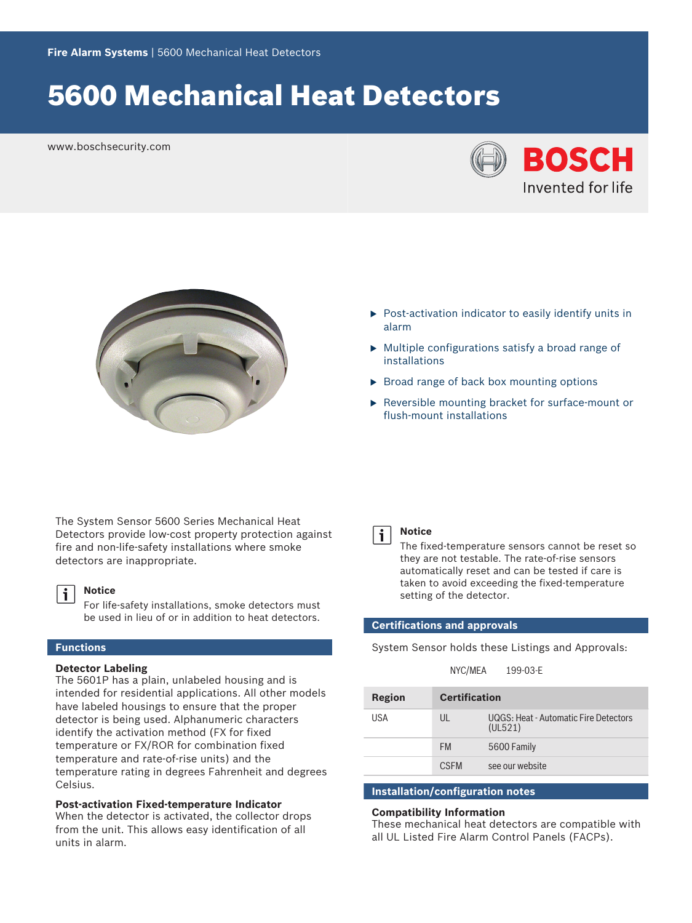# 5600 Mechanical Heat Detectors

www.boschsecurity.com





- $\triangleright$  Post-activation indicator to easily identify units in alarm
- $\triangleright$  Multiple configurations satisfy a broad range of installations
- $\triangleright$  Broad range of back box mounting options
- $\triangleright$  Reversible mounting bracket for surface-mount or flush‑mount installations

The System Sensor 5600 Series Mechanical Heat Detectors provide low-cost property protection against fire and non-life-safety installations where smoke detectors are inappropriate.

#### **Notice** i

For life-safety installations, smoke detectors must be used in lieu of or in addition to heat detectors.

# **Functions**

### **Detector Labeling**

The 5601P has a plain, unlabeled housing and is intended for residential applications. All other models have labeled housings to ensure that the proper detector is being used. Alphanumeric characters identify the activation method (FX for fixed temperature or FX/ROR for combination fixed temperature and rate-of-rise units) and the temperature rating in degrees Fahrenheit and degrees Celsius.

# **Post-activation Fixed-temperature Indicator**

When the detector is activated, the collector drops from the unit. This allows easy identification of all units in alarm.



### **Notice**

The fixed-temperature sensors cannot be reset so they are not testable. The rate-of-rise sensors automatically reset and can be tested if care is taken to avoid exceeding the fixed-temperature setting of the detector.

# **Certifications and approvals**

System Sensor holds these Listings and Approvals:

| NYC/MEA |  | 199-03-E |
|---------|--|----------|
|---------|--|----------|

| Region | <b>Certification</b> |                                                  |
|--------|----------------------|--------------------------------------------------|
| USA    | UL                   | UQGS: Heat - Automatic Fire Detectors<br>(UL521) |
|        | <b>FM</b>            | 5600 Family                                      |
|        | <b>CSEM</b>          | see our website                                  |

# **Installation/configuration notes**

### **Compatibility Information**

These mechanical heat detectors are compatible with all UL Listed Fire Alarm Control Panels (FACPs).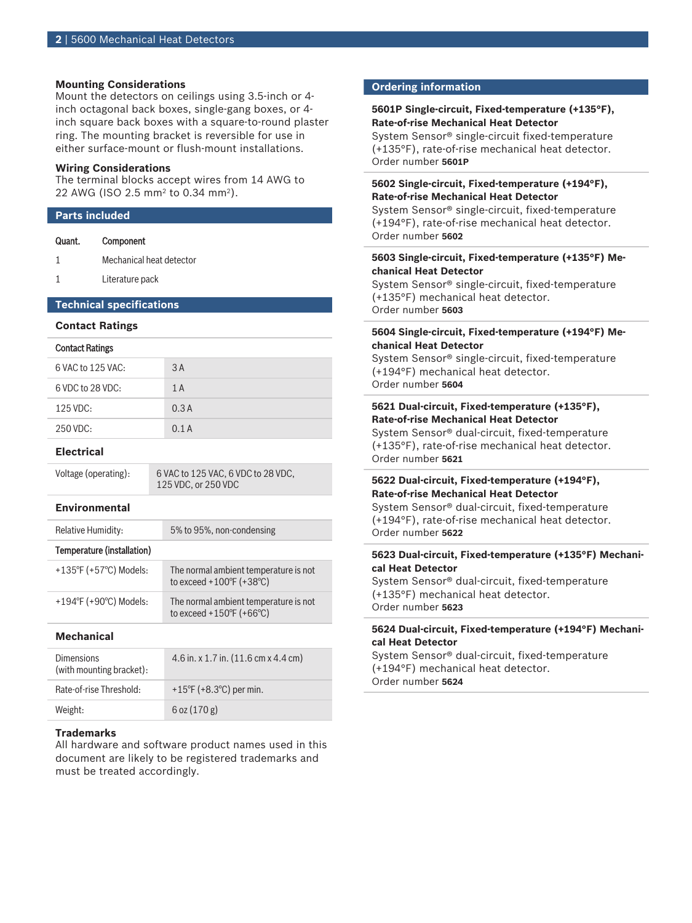### **Mounting Considerations**

Mount the detectors on ceilings using 3.5-inch or 4 inch octagonal back boxes, single-gang boxes, or 4 inch square back boxes with a square-to-round plaster ring. The mounting bracket is reversible for use in either surface-mount or flush-mount installations.

### **Wiring Considerations**

The terminal blocks accept wires from 14 AWG to 22 AWG (ISO 2.5 mm<sup>2</sup> to 0.34 mm<sup>2</sup>).

#### **Parts included**

| Quant.                          | Component                |  |
|---------------------------------|--------------------------|--|
|                                 | Mechanical heat detector |  |
|                                 | Literature pack          |  |
| <b>Technical specifications</b> |                          |  |
| <b>Contact Ratings</b>          |                          |  |
|                                 |                          |  |

#### Contact Ratings

| 6 VAC to 125 VAC: | 3A   |
|-------------------|------|
| 6 VDC to 28 VDC:  | 1A   |
| 125 VDC:          | 0.3A |
| 250 VDC:          | 0.1A |

### **Electrical**

| Voltage (operating): |  |
|----------------------|--|
|                      |  |

6 VAC to 125 VAC, 6 VDC to 28 VDC, 125 VDC, or 250 VDC

### **Environmental**

| <b>Relative Humidity:</b>  | 5% to 95%, non-condensing                                                              |
|----------------------------|----------------------------------------------------------------------------------------|
| Temperature (installation) |                                                                                        |
| +135°F (+57°C) Models:     | The normal ambient temperature is not<br>to exceed $+100^{\circ}$ F ( $+38^{\circ}$ C) |
| +194°F (+90°C) Models:     | The normal ambient temperature is not<br>to exceed +150°F (+66°C)                      |

### **Mechanical**

| <b>Dimensions</b><br>(with mounting bracket): | 4.6 in. x 1.7 in. $(11.6 \text{ cm} \times 4.4 \text{ cm})$ |
|-----------------------------------------------|-------------------------------------------------------------|
| Rate-of-rise Threshold:                       | +15°F (+8.3°C) per min.                                     |
| Weight:                                       | $6$ oz $(170g)$                                             |

# **Trademarks**

All hardware and software product names used in this document are likely to be registered trademarks and must be treated accordingly.

#### **Ordering information**

# **5601P Single‑circuit, Fixed‑temperature (+135°F), Rate‑of‑rise Mechanical Heat Detector**

System Sensor<sup>®</sup> single-circuit fixed-temperature (+135°F), rate‑of‑rise mechanical heat detector. Order number **5601P**

# **5602 Single‑circuit, Fixed‑temperature (+194°F), Rate‑of‑rise Mechanical Heat Detector**

System Sensor<sup>®</sup> single-circuit, fixed-temperature (+194°F), rate‑of‑rise mechanical heat detector. Order number **5602**

# **5603 Single‑circuit, Fixed‑temperature (+135°F) Mechanical Heat Detector**

System Sensor<sup>®</sup> single-circuit, fixed-temperature (+135°F) mechanical heat detector. Order number **5603**

# **5604 Single‑circuit, Fixed‑temperature (+194°F) Mechanical Heat Detector**

System Sensor<sup>®</sup> single-circuit, fixed-temperature (+194°F) mechanical heat detector. Order number **5604**

# **5621 Dual‑circuit, Fixed‑temperature (+135°F), Rate‑of‑rise Mechanical Heat Detector**

System Sensor® dual-circuit, fixed-temperature (+135°F), rate‑of‑rise mechanical heat detector. Order number **5621**

# **5622 Dual‑circuit, Fixed‑temperature (+194°F), Rate‑of‑rise Mechanical Heat Detector**

System Sensor<sup>®</sup> dual-circuit, fixed-temperature (+194°F), rate‑of‑rise mechanical heat detector. Order number **5622**

## **5623 Dual‑circuit, Fixed‑temperature (+135°F) Mechanical Heat Detector**

System Sensor<sup>®</sup> dual-circuit, fixed-temperature (+135°F) mechanical heat detector. Order number **5623**

### **5624 Dual‑circuit, Fixed‑temperature (+194°F) Mechanical Heat Detector**

System Sensor® dual-circuit, fixed-temperature (+194°F) mechanical heat detector. Order number **5624**